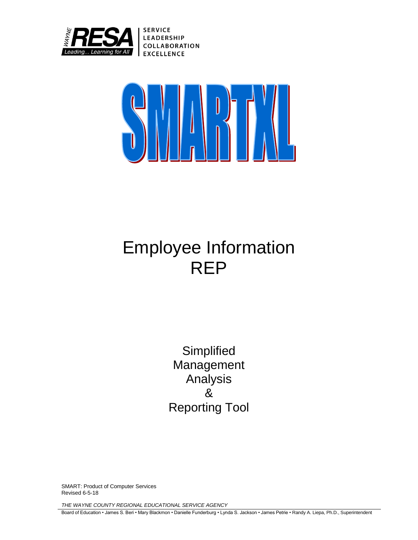

**SERVICE** LEADERSHIP COLLABORATION **EXCELLENCE** 



# Employee Information REP

**Simplified** Management Analysis & Reporting Tool

SMART: Product of Computer Services Revised 6-5-18

*THE WAYNE COUNTY REGIONAL EDUCATIONAL SERVICE AGENCY*

Board of Education • James S. Beri • Mary Blackmon • Danielle Funderburg • Lynda S. Jackson • James Petrie • Randy A. Liepa, Ph.D., Superintendent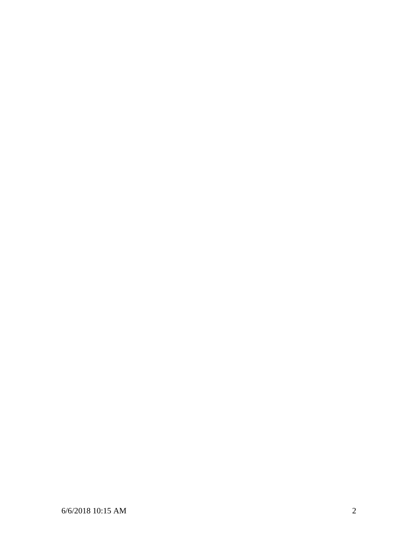6/6/2018 10:15 AM 2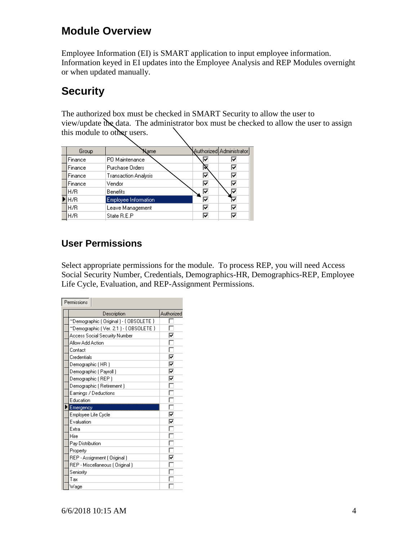## <span id="page-3-0"></span>**Module Overview**

Employee Information (EI) is SMART application to input employee information. Information keyed in EI updates into the Employee Analysis and REP Modules overnight or when updated manually.

# <span id="page-3-1"></span>**Security**

The authorized box must be checked in SMART Security to allow the user to view/update the data. The administrator box must be checked to allow the user to assign this module to other users.

| Group   | Vame                        |   | Authorized Administrator |
|---------|-----------------------------|---|--------------------------|
| Finance | PO Maintenance              | ⊽ |                          |
| Finance | Purchase Orders             |   | ✓                        |
| Finance | <b>Transaction Analysis</b> | ⊽ | ⊽                        |
| Finance | Vendor                      | ⊽ | ▽                        |
| H/R     | Benefits                    | ⊽ |                          |
| H/R     | Employee Information        | ⊽ |                          |
| H/R     | Leave Management            | ⊽ | ⊽                        |
| H/R     | State R.E.P.                | ⊽ | ⊽                        |

#### <span id="page-3-2"></span>**User Permissions**

Select appropriate permissions for the module. To process REP, you will need Access Social Security Number, Credentials, Demographics-HR, Demographics-REP, Employee Life Cycle, Evaluation, and REP-Assignment Permissions.

| Permissions                             |            |
|-----------------------------------------|------------|
| Description                             | Authorized |
| "Demographic (Original) - { OBSOLETE }  |            |
| ~Demographic (Ver. 2.1 ) - { OBSOLETE } |            |
| Access Social Security Number           | ⊽          |
| Allow Add Action                        |            |
| Contact                                 |            |
| Credentials                             | ঢ়         |
| Demographic [HR ]                       | ⊽          |
| Demographic (Payroll)                   | ⊽          |
| Demographic (REP)                       | ⊽          |
| Demographic (Retirement )               |            |
| Earnings / Deductions                   |            |
| Education                               |            |
| Emergency                               |            |
| Employee Life Cycle                     | ⊽          |
| Evaluation                              | ⊽          |
| Extra                                   |            |
| Hire                                    |            |
| Pay Distribution                        |            |
| Property                                |            |
| REP - Assignment (Original)             | ⊽          |
| REP - Miscellaneous (Original)          |            |
| Seniority                               |            |
| Tax                                     |            |
| Wage                                    |            |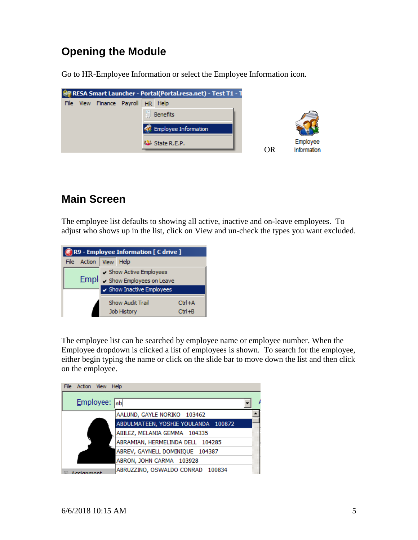## <span id="page-4-0"></span>**Opening the Module**

Go to HR-Employee Information or select the Employee Information icon.

|  |  | PRESA Smart Launcher - Portal(Portal.resa.net) - Test T1 - 1 |    |             |
|--|--|--------------------------------------------------------------|----|-------------|
|  |  | File View Finance Payroll   HR Help                          |    |             |
|  |  | <b>Benefits</b>                                              |    |             |
|  |  | <b>SEE</b> Employee Information                              |    |             |
|  |  | State R.E.P.                                                 |    | Employee    |
|  |  |                                                              | ∩R | Information |

# <span id="page-4-1"></span>**Main Screen**

The employee list defaults to showing all active, inactive and on-leave employees. To adjust who shows up in the list, click on View and un-check the types you want excluded.



The employee list can be searched by employee name or employee number. When the Employee dropdown is clicked a list of employees is shown. To search for the employee, either begin typing the name or click on the slide bar to move down the list and then click on the employee.

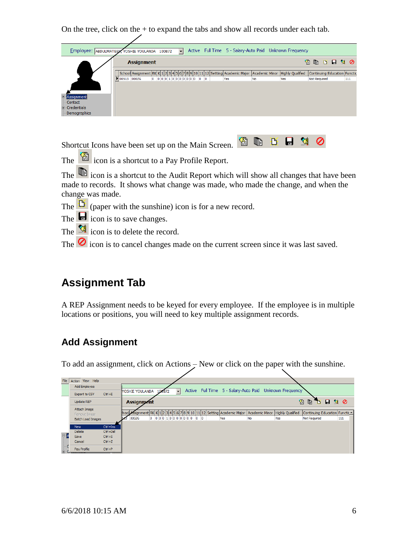On the tree, click on the  $+$  to expand the tabs and show all records under each tab.



Shortcut Icons have been set up on the Main Screen.

只 日 剑

The icon is a shortcut to a Pay Profile Report.

The icon is a shortcut to the Audit Report which will show all changes that have been made to records. It shows what change was made, who made the change, and when the change was made.

The  $\mathbf{D}$  (paper with the sunshine) icon is for a new record.

The  $\blacksquare$  icon is to save changes.

The  $\left| \bigotimes \right|$  icon is to delete the record.

The  $\bullet$  icon is to cancel changes made on the current screen since it was last saved.

## <span id="page-5-0"></span>**Assignment Tab**

A REP Assignment needs to be keyed for every employee. If the employee is in multiple locations or positions, you will need to key multiple assignment records.

## <span id="page-5-1"></span>**Add Assignment**

To add an assignment, click on Actions – New or click on the paper with the sunshine.

| File           | Action View Help         |              |                         |  |  |                      |  |                                                         |           |                       |                         |                                |     |
|----------------|--------------------------|--------------|-------------------------|--|--|----------------------|--|---------------------------------------------------------|-----------|-----------------------|-------------------------|--------------------------------|-----|
|                | <b>Add Employee</b>      |              |                         |  |  |                      |  |                                                         |           |                       |                         |                                |     |
|                | <b>Export to CSV</b>     | $Ctrl + E$   | YOSHIE YOULANDA 100872  |  |  |                      |  | Active Full Time 5 - Salary-Auto Paid Unknown Frequency |           |                       |                         |                                |     |
|                | <b>Update REP</b>        |              | <b>Assignment</b>       |  |  |                      |  |                                                         |           |                       |                         | <b>BODDES</b>                  |     |
|                | Attach Image             |              |                         |  |  |                      |  |                                                         |           |                       |                         |                                |     |
|                | Remove Image             |              | thool Assignment RK K 1 |  |  |                      |  | 89101112 Setting Academic Major                         |           | <b>Academic Minor</b> | <b>Highly Qualified</b> | Continuing Education Functic - |     |
|                | <b>Batch Load Images</b> |              | 000ZG                   |  |  | $0$ 0001000000000000 |  | Yes                                                     | <b>No</b> |                       | Yes                     | Not Required                   | 111 |
|                | New                      | $CtrI + Ins$ |                         |  |  |                      |  |                                                         |           |                       |                         |                                |     |
|                | <b>Delete</b>            | Ctrl+Del     |                         |  |  |                      |  |                                                         |           |                       |                         |                                |     |
| EA             | Save                     | $CtrI + S$   |                         |  |  |                      |  |                                                         |           |                       |                         |                                |     |
|                | Cancel                   | $Ctr1+Z$     |                         |  |  |                      |  |                                                         |           |                       |                         |                                |     |
| $\overline{+}$ | Pay Profile              | $Ctr +P$     |                         |  |  |                      |  |                                                         |           |                       |                         |                                |     |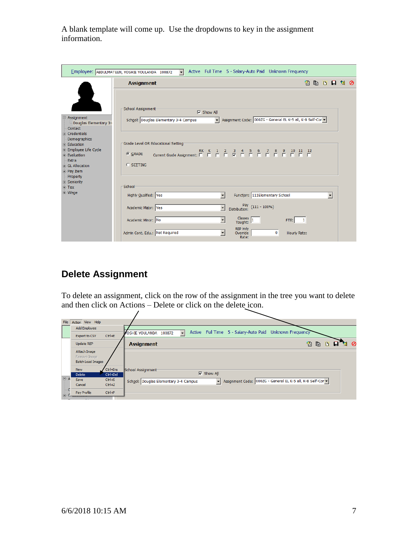A blank template will come up. Use the dropdowns to key in the assignment information.

| Employee: ABDULMATEEN, YOSHIE YOULANDA 100872                                                                                      |                                                                          | $\overline{\phantom{0}}$ | Active Full Time 5 - Salary-Auto Paid Unknown Frequency                                    |                                                                                  |              |                      |   |                |                          |  |
|------------------------------------------------------------------------------------------------------------------------------------|--------------------------------------------------------------------------|--------------------------|--------------------------------------------------------------------------------------------|----------------------------------------------------------------------------------|--------------|----------------------|---|----------------|--------------------------|--|
|                                                                                                                                    | <b>Assignment</b>                                                        |                          |                                                                                            |                                                                                  |              |                      |   | <b>BRPDESO</b> |                          |  |
| <b>E</b> Assignment<br>Douglas Elementary 3-<br>Contact                                                                            | School Assignment<br>School: Douglas Elementary 3-4 Campus               |                          | $\nabla$ Show All<br>$\overline{\phantom{a}}$                                              | Assignment Code: 000ZG - General EL K-5 all, K-8 Self-Cor -                      |              |                      |   |                |                          |  |
| F Credentials<br>Demographics<br>F-Education<br>Employee Life Cycle<br>Evaluation<br>Extra<br><b>F</b> GL Allocation<br>E-Pay Item | Grade Level OR Educational Setting<br>G GRADE<br><b>C SETTING</b>        |                          | RK K 1 2 3 4 5 6 7 8 9 10 11 12<br>Current Grade Assignment: □ □ □ □ □ □ □ □ □ □ □ □ □ □ □ |                                                                                  |              |                      |   |                |                          |  |
| Property<br>E Seniority<br>F Tax<br>E Wage                                                                                         | $\exists$ chool $\vdash$<br>Highly Qualified: Yes<br>Academic Major: Yes |                          | $\overline{\phantom{0}}$<br>$\overline{\phantom{a}}$                                       | Function: 111Elementary School<br>Pay (111 - 100%)<br>Distribution: (111 - 100%) |              |                      |   |                | $\overline{\phantom{0}}$ |  |
|                                                                                                                                    | Academic Minor: No<br>Admin Cont. Edu.: Not Required                     |                          | $\overline{\phantom{a}}$<br>$\overline{\phantom{a}}$                                       | Classes<br>Taught:<br><b>REP Hrly</b><br>Override<br>Rate:                       | $\mathbf{0}$ | FTE:<br>Hourly Rate: | 1 |                |                          |  |

#### <span id="page-6-0"></span>**Delete Assignment**

To delete an assignment, click on the row of the assignment in the tree you want to delete and then click on Actions – Delete or click on the delete icon.

| File     | Action View Help                                         |            |                                                                                                                                  |
|----------|----------------------------------------------------------|------------|----------------------------------------------------------------------------------------------------------------------------------|
|          | Add Employee                                             |            |                                                                                                                                  |
|          | <b>Export to CSV</b>                                     | $CtrI + E$ | Active Full Time 5 - Salary-Auto Paid Unknown Frequency<br><b>NOSHIE YOULANDA 100872</b><br>$\mathbf{r}$                         |
|          | <b>Update REP</b>                                        |            | - 0<br>8 Q<br><b>Assignment</b><br><b>n</b>                                                                                      |
|          | Attach Image<br>Remove Image<br><b>Batch Load Images</b> |            |                                                                                                                                  |
|          | <b>New</b>                                               | Ctrl+Ins   | School Assignment                                                                                                                |
|          | Delete                                                   | Ctrl+Del   | $\nabla$ Show All                                                                                                                |
| $\Box$ A | Save                                                     | $Ctr1 + S$ | Assignment Code: 000ZG - General EL K-5 all, K-8 Self-Cor -<br>School: Douglas Elementary 3-4 Campus<br>$\overline{\phantom{a}}$ |
|          | Cancel                                                   | $Ctr1+Z$   |                                                                                                                                  |
|          | Pay Profile                                              | $Ctrl + P$ |                                                                                                                                  |
|          |                                                          |            |                                                                                                                                  |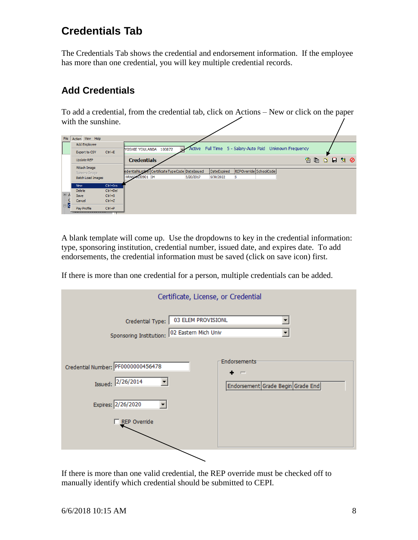## <span id="page-7-0"></span>**Credentials Tab**

The Credentials Tab shows the credential and endorsement information. If the employee has more than one credential, you will key multiple credential records.

#### <span id="page-7-1"></span>**Add Credentials**

To add a credential, from the credential tab, click on Actions – New or click on the paper with the sunshine.

| File |                    | Action View Help                                         |              |                               |                                                            |                          |    |                        |                                                         |               |  |  |
|------|--------------------|----------------------------------------------------------|--------------|-------------------------------|------------------------------------------------------------|--------------------------|----|------------------------|---------------------------------------------------------|---------------|--|--|
|      |                    | Add Employee                                             |              |                               |                                                            |                          |    |                        |                                                         |               |  |  |
|      |                    | Export to CSV                                            | $CtrI + E$   | <b>NOSHIE YOULANDA 100872</b> |                                                            |                          |    |                        | Active Full Time 5 - Salary-Auto Paid Unknown Frequency |               |  |  |
|      |                    | <b>Update REP</b>                                        |              | <b>Credentials</b>            |                                                            |                          |    |                        |                                                         | <b>SCKH30</b> |  |  |
|      |                    | Attach Image<br>Remove Image<br><b>Batch Load Images</b> |              | XRN600030901 04               | edentialNumber CertificateTypeCode DateIssued<br>5/20/2017 | DateExpired<br>6/30/2022 | Is | REPOverride SchoolCode |                                                         |               |  |  |
|      |                    | <b>New</b>                                               | $CtrI + Ins$ |                               |                                                            |                          |    |                        |                                                         |               |  |  |
|      |                    | <b>Delete</b>                                            | Ctrl+Del     |                               |                                                            |                          |    |                        |                                                         |               |  |  |
|      | $E$ <sup>-</sup> A | Save                                                     | $Ctrl + S$   |                               |                                                            |                          |    |                        |                                                         |               |  |  |
|      |                    | Cancel                                                   | $CtrI + Z$   |                               |                                                            |                          |    |                        |                                                         |               |  |  |
| Ė    |                    | Pay Profile                                              | $Ctrl + P$   |                               |                                                            |                          |    |                        |                                                         |               |  |  |

A blank template will come up. Use the dropdowns to key in the credential information: type, sponsoring institution, credential number, issued date, and expires date. To add endorsements, the credential information must be saved (click on save icon) first.

| If there is more than one credential for a person, multiple credentials can be added. |  |
|---------------------------------------------------------------------------------------|--|
|---------------------------------------------------------------------------------------|--|

|                                                         | Certificate, License, or Credential                        |
|---------------------------------------------------------|------------------------------------------------------------|
| Credential Type:<br>Sponsoring Institution:             | 03 ELEM PROVISIONL<br>02 Eastern Mich Univ                 |
| Credential Number: PF0000000456478<br>Issued: 2/26/2014 | Endorsements<br>$+ =$<br>Endorsement Grade Begin Grade End |
| Expires: 2/26/2020<br>REP Override                      |                                                            |
|                                                         |                                                            |

If there is more than one valid credential, the REP override must be checked off to manually identify which credential should be submitted to CEPI.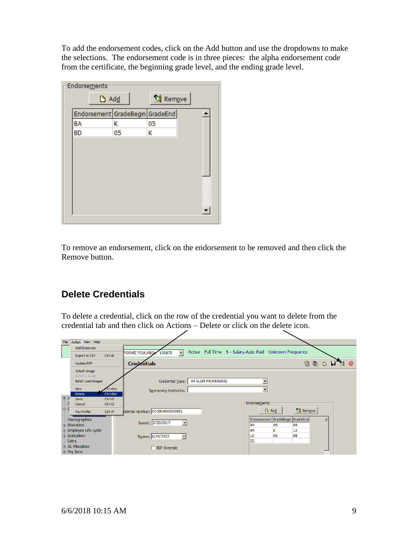To add the endorsement codes, click on the Add button and use the dropdowns to make the selections. The endorsement code is in three pieces: the alpha endorsement code from the certificate, the beginning grade level, and the ending grade level.

|           | Endorsements |                                 |        |  |
|-----------|--------------|---------------------------------|--------|--|
|           | D Add        |                                 | Remove |  |
|           |              | Endorsement GradeBegin GradeEnd |        |  |
| BA        |              | К                               | 05     |  |
| <b>BD</b> |              | 05                              | κ      |  |
|           |              |                                 |        |  |
|           |              |                                 |        |  |

To remove an endorsement, click on the endorsement to be removed and then click the Remove button.

#### <span id="page-8-0"></span>**Delete Credentials**

To delete a credential, click on the row of the credential you want to delete from the credential tab and then click on Actions – Delete or click on the delete icon.

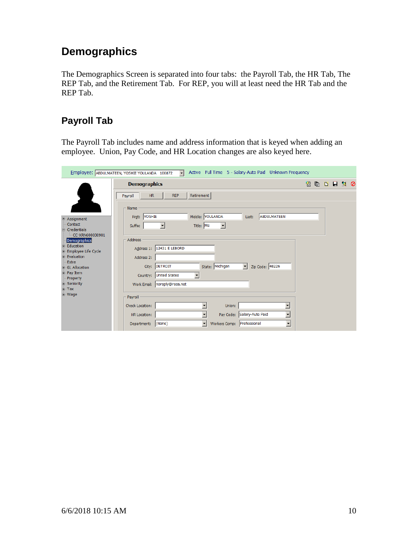## <span id="page-9-0"></span>**Demographics**

The Demographics Screen is separated into four tabs: the Payroll Tab, the HR Tab, The REP Tab, and the Retirement Tab. For REP, you will at least need the HR Tab and the REP Tab.

#### <span id="page-9-1"></span>**Payroll Tab**

The Payroll Tab includes name and address information that is keyed when adding an employee. Union, Pay Code, and HR Location changes are also keyed here.

|                                       | Active Full Time 5 - Salary-Auto Paid Unknown Frequency<br>$\overline{\phantom{a}}$<br>Employee: ABDULMATEEN, YOSHIE YOULANDA 100872 |  |  |
|---------------------------------------|--------------------------------------------------------------------------------------------------------------------------------------|--|--|
|                                       | <b>BRH30</b><br><b>Demographics</b><br>图                                                                                             |  |  |
|                                       | Retirement<br><b>REP</b><br>Payroll<br><b>HR</b>                                                                                     |  |  |
|                                       | Name                                                                                                                                 |  |  |
| <b>E</b> Assignment                   | Middle: YOULANDA<br>YOSHIE<br>ABDULMATEEN<br>Last:<br>First:                                                                         |  |  |
| Contact                               | $\blacktriangledown$<br>Title: Ms<br>Suffix:                                                                                         |  |  |
| F- Credentials                        |                                                                                                                                      |  |  |
| CC-XRN600030901                       | <b>Address</b>                                                                                                                       |  |  |
| <b>Demographics</b><br>Education<br>中 |                                                                                                                                      |  |  |
| Employee Life Cycle                   | Address 1: 12431 E LEBORD                                                                                                            |  |  |
| F-Evaluation                          | Address 2:                                                                                                                           |  |  |
| Extra<br>F GL Allocation              | Zip Code: 48226<br>State: Michigan<br>DETROIT<br>$\mathbf{r}$<br>City:                                                               |  |  |
| E-Pay Item                            |                                                                                                                                      |  |  |
| Property                              | Country: United States<br>$\blacktriangledown$                                                                                       |  |  |
| E-Seniority                           | noreply@resa.net<br>Work Email:                                                                                                      |  |  |
| <b>E</b> Tax                          |                                                                                                                                      |  |  |
| E Wage                                | Payroll                                                                                                                              |  |  |
|                                       | Check Location:<br>Union:<br>$\overline{\phantom{a}}$                                                                                |  |  |
|                                       | Pay Code: Salary-Auto Paid<br>$\overline{\phantom{a}}$<br>HR Location:                                                               |  |  |
|                                       | $\overline{\phantom{a}}$<br>Professional<br>(None)<br>Workers Comp:<br>Department:                                                   |  |  |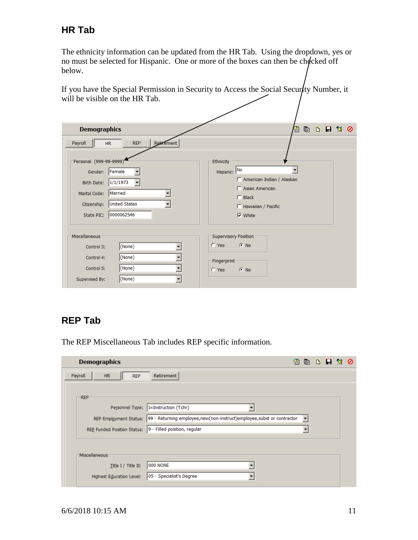#### <span id="page-10-0"></span>**HR Tab**

The ethnicity information can be updated from the HR Tab. Using the dropdown, yes or no must be selected for Hispanic. One or more of the boxes can then be checked off below.

If you have the Special Permission in Security to Access the Social Security Number, it will be visible on the HR Tab.

| <b>Demographics</b>                                                                             |                                                                                          |                                                                                                                                        | ▧ |  | <b>BBB90</b> |  |
|-------------------------------------------------------------------------------------------------|------------------------------------------------------------------------------------------|----------------------------------------------------------------------------------------------------------------------------------------|---|--|--------------|--|
| Payroll                                                                                         | <b>REP</b><br><b>Retirement</b><br><b>HR</b>                                             |                                                                                                                                        |   |  |              |  |
| Personal (999-99-9999)<br>Gender:<br>Birth Date:<br>Marital Code:<br>Citizenship:<br>State PIC: | Female<br>1/1/1973<br>Married<br>United States<br>$\overline{\phantom{0}}$<br>0000062546 | Ethnicity<br>Hispanic: No<br>□ American Indian / Alaskan<br>□ Asian American<br>$\Box$ Black<br>F Hawaiian / Pacific<br>$\nabla$ White |   |  |              |  |
| <b>Miscellaneous</b><br>Control 3:<br>Control 4:<br>Control 5:<br>Supervised By:                | (None)<br>(None)<br>(None)<br>(None)                                                     | Supervisory Position<br>$C$ No<br>$C$ Yes<br>Fingerprint<br>$C$ No<br>$C$ Yes                                                          |   |  |              |  |

#### <span id="page-10-1"></span>**REP Tab**

The REP Miscellaneous Tab includes REP specific information.

| <b>Demographics</b>                |                                                                           | 囹 |  | <b>GPH40</b> |  |
|------------------------------------|---------------------------------------------------------------------------|---|--|--------------|--|
| Payroll<br><b>HR</b><br><b>REP</b> | Retirement                                                                |   |  |              |  |
| <b>REP</b>                         |                                                                           |   |  |              |  |
| Personnel Type:                    | I=Instruction (Tchr)                                                      |   |  |              |  |
| REP Employment Status:             | 99 - Returning employee, new (non-instruct) employee, subst or contractor |   |  |              |  |
| REP Funded Position Status:        | 9 - Filled position, regular                                              |   |  |              |  |
|                                    |                                                                           |   |  |              |  |
| -Miscellaneous-                    |                                                                           |   |  |              |  |
| Title I / Title II:                | <b>000 NONE</b>                                                           |   |  |              |  |
| Highest Education Level:           | 05 - Specialist's Degree                                                  |   |  |              |  |
|                                    |                                                                           |   |  |              |  |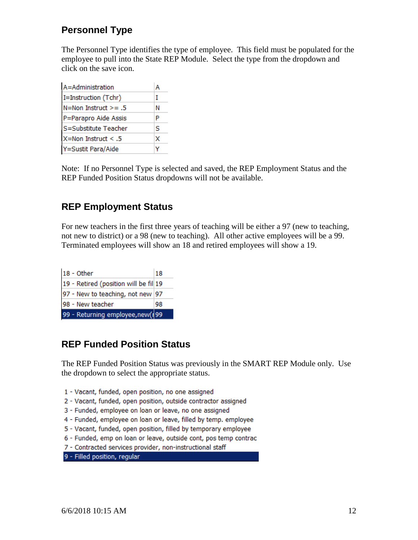#### **Personnel Type**

The Personnel Type identifies the type of employee. This field must be populated for the employee to pull into the State REP Module. Select the type from the dropdown and click on the save icon.

| A=Administration         |   |
|--------------------------|---|
| I=Instruction (Tchr)     | I |
| $N = Non$ Instruct >= .5 | Ν |
| P=Parapro Aide Assis     | P |
| S=Substitute Teacher     | s |
| $X = Non$ Instruct < .5  | x |
| Y=Sustit Para/Aide       |   |

Note: If no Personnel Type is selected and saved, the REP Employment Status and the REP Funded Position Status dropdowns will not be available.

#### **REP Employment Status**

For new teachers in the first three years of teaching will be either a 97 (new to teaching, not new to district) or a 98 (new to teaching). All other active employees will be a 99. Terminated employees will show an 18 and retired employees will show a 19.

| 18 - Other                            | 18 |
|---------------------------------------|----|
| 19 - Retired (position will be fil 19 |    |
| 97 - New to teaching, not new 97      |    |
| 98 - New teacher                      | 98 |
| 99 - Returning employee, new(199      |    |

#### **REP Funded Position Status**

The REP Funded Position Status was previously in the SMART REP Module only. Use the dropdown to select the appropriate status.

- 1 Vacant, funded, open position, no one assigned
- 2 Vacant, funded, open position, outside contractor assigned
- 3 Funded, employee on loan or leave, no one assigned
- 4 Funded, employee on loan or leave, filled by temp. employee
- 5 Vacant, funded, open position, filled by temporary employee
- 6 Funded, emp on loan or leave, outside cont, pos temp contrac
- 7 Contracted services provider, non-instructional staff
- 9 Filled position, regular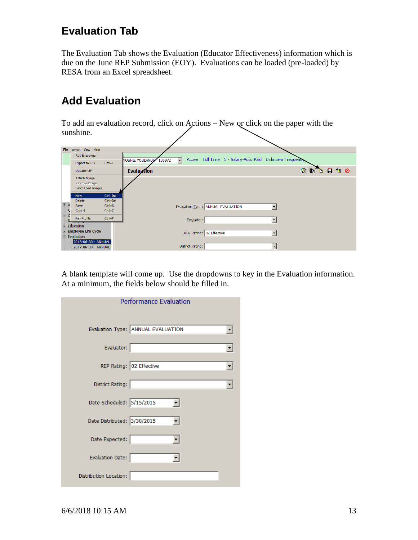## <span id="page-12-0"></span>**Evaluation Tab**

The Evaluation Tab shows the Evaluation (Educator Effectiveness) information which is due on the June REP Submission (EOY). Evaluations can be loaded (pre-loaded) by RESA from an Excel spreadsheet.

# <span id="page-12-1"></span>**Add Evaluation**

To add an evaluation record, click on Actions – New or click on the paper with the sunshine.

| File        | Action View Help         |              |                                                                                       |
|-------------|--------------------------|--------------|---------------------------------------------------------------------------------------|
|             | Add Employee             |              |                                                                                       |
|             | Export to CSV            | $CtrI + E$   | Active Full Time 5 - Salary-Auto Paid Unknown Frequency,<br>YOSHIE YOULANDA<br>100872 |
|             | <b>Update REP</b>        |              | <b>BDBBSO</b><br><b>Evaluation</b>                                                    |
|             | Attach Image             |              |                                                                                       |
|             | Remove Image             |              |                                                                                       |
|             | <b>Batch Load Images</b> |              |                                                                                       |
|             | <b>New</b>               | $CtrI + Ins$ |                                                                                       |
|             | <b>Delete</b>            | Ctrl+Del     |                                                                                       |
| $\boxdot$ A | Save                     | $CtrI + S$   | Evaluation Type: ANNUAL EVALUATION<br>$\blacktriangledown$                            |
|             | Cancel                   | $CtrI+Z$     |                                                                                       |
| $E - C$     | Pay Profile              | $Ctr1 + P$   | Evaluator:<br>▼                                                                       |
|             | Education                |              |                                                                                       |
|             | E- Employee Life Cycle   |              |                                                                                       |
|             | Evaluation               |              | REP Rating: 02 Effective<br>▼                                                         |
|             | 2018-06-30 - ANNUAL      |              |                                                                                       |
|             | 2017-06-30 - ANNUAL      |              | District Rating:<br>▼                                                                 |
|             |                          |              |                                                                                       |

A blank template will come up. Use the dropdowns to key in the Evaluation information. At a minimum, the fields below should be filled in.

| <b>Performance Evaluation</b>      |  |  |  |  |  |  |  |  |
|------------------------------------|--|--|--|--|--|--|--|--|
| Evaluation Type: ANNUAL EVALUATION |  |  |  |  |  |  |  |  |
| Evaluator:                         |  |  |  |  |  |  |  |  |
| REP Rating: 02 Effective           |  |  |  |  |  |  |  |  |
| District Rating:                   |  |  |  |  |  |  |  |  |
| Date Scheduled: 5/15/2015          |  |  |  |  |  |  |  |  |
| Date Distributed: 3/30/2015        |  |  |  |  |  |  |  |  |
| Date Expected:                     |  |  |  |  |  |  |  |  |
| Evaluation Date:                   |  |  |  |  |  |  |  |  |
| Distribution Location:             |  |  |  |  |  |  |  |  |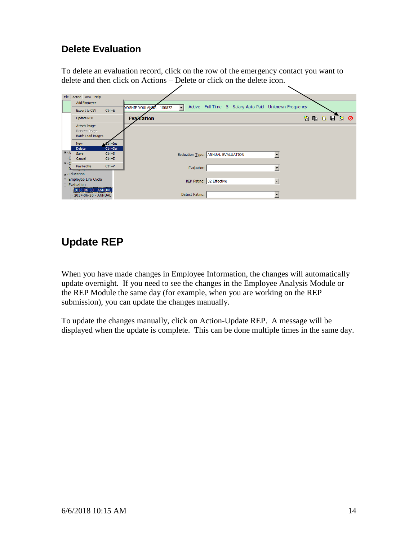#### <span id="page-13-0"></span>**Delete Evaluation**

To delete an evaluation record, click on the row of the emergency contact you want to delete and then click on Actions – Delete or click on the delete icon.

| File | Action View Help         |            |                        |                                    |                          |                                                         |                          |               |  |  |
|------|--------------------------|------------|------------------------|------------------------------------|--------------------------|---------------------------------------------------------|--------------------------|---------------|--|--|
|      | Add Employee             |            |                        |                                    |                          |                                                         |                          |               |  |  |
|      | Export to CSV            | $Ctr1 + E$ | YOSHIE YOULANDA 100872 | $\mathbf{r}$                       |                          | Active Full Time 5 - Salary-Auto Paid Unknown Frequency |                          |               |  |  |
|      | <b>Update REP</b>        |            | <b>Evaluation</b>      |                                    |                          |                                                         |                          | <b>SBBBCC</b> |  |  |
|      | Attach Image             |            |                        |                                    |                          |                                                         |                          |               |  |  |
|      | Remove Image             |            |                        |                                    |                          |                                                         |                          |               |  |  |
|      | <b>Batch Load Images</b> |            |                        |                                    |                          |                                                         |                          |               |  |  |
|      | <b>New</b>               | Ctrl+Ins   |                        |                                    |                          |                                                         |                          |               |  |  |
|      | Delete                   | Ctrl+Del   |                        |                                    |                          |                                                         |                          |               |  |  |
| E-A  | Save                     | $Ctr1 + S$ |                        | Evaluation Type: ANNUAL EVALUATION |                          |                                                         |                          |               |  |  |
|      | Cancel                   | $Ctr1+Z$   |                        |                                    |                          |                                                         |                          |               |  |  |
| E-C  | Pay Profile              | $Ctr  + P$ |                        | Evaluator:                         |                          |                                                         |                          |               |  |  |
|      | F Education              |            |                        |                                    |                          |                                                         |                          |               |  |  |
|      | Employee Life Cycle      |            |                        |                                    |                          |                                                         |                          |               |  |  |
|      | Evaluation               |            |                        |                                    | REP Rating: 02 Effective |                                                         | $\overline{\phantom{a}}$ |               |  |  |
|      | 2018-06-30 - ANNUAL      |            |                        |                                    |                          |                                                         |                          |               |  |  |
|      | 2017-06-30 - ANNUAL      |            |                        | District Rating:                   |                          |                                                         | $\overline{\phantom{a}}$ |               |  |  |
|      |                          |            |                        |                                    |                          |                                                         |                          |               |  |  |

## <span id="page-13-1"></span>**Update REP**

When you have made changes in Employee Information, the changes will automatically update overnight. If you need to see the changes in the Employee Analysis Module or the REP Module the same day (for example, when you are working on the REP submission), you can update the changes manually.

To update the changes manually, click on Action-Update REP. A message will be displayed when the update is complete. This can be done multiple times in the same day.